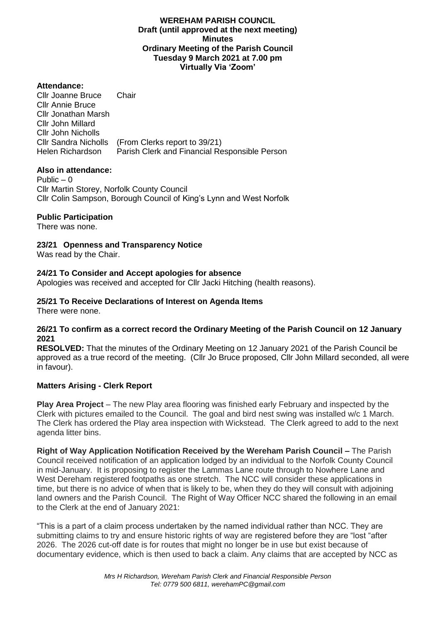### **WEREHAM PARISH COUNCIL Draft (until approved at the next meeting) Minutes Ordinary Meeting of the Parish Council Tuesday 9 March 2021 at 7.00 pm Virtually Via 'Zoom'**

## **Attendance:**

Cllr Joanne Bruce Chair Cllr Annie Bruce Cllr Jonathan Marsh Cllr John Millard Cllr John Nicholls Cllr Sandra Nicholls (From Clerks report to 39/21) Helen Richardson Parish Clerk and Financial Responsible Person

## **Also in attendance:**

Public  $-0$ Cllr Martin Storey, Norfolk County Council Cllr Colin Sampson, Borough Council of King's Lynn and West Norfolk

### **Public Participation**

There was none.

**23/21 Openness and Transparency Notice**

Was read by the Chair.

### **24/21 To Consider and Accept apologies for absence**

Apologies was received and accepted for Cllr Jacki Hitching (health reasons).

# **25/21 To Receive Declarations of Interest on Agenda Items**

There were none.

### **26/21 To confirm as a correct record the Ordinary Meeting of the Parish Council on 12 January 2021**

**RESOLVED:** That the minutes of the Ordinary Meeting on 12 January 2021 of the Parish Council be approved as a true record of the meeting. (Cllr Jo Bruce proposed, Cllr John Millard seconded, all were in favour).

## **Matters Arising - Clerk Report**

**Play Area Project** – The new Play area flooring was finished early February and inspected by the Clerk with pictures emailed to the Council. The goal and bird nest swing was installed w/c 1 March. The Clerk has ordered the Play area inspection with Wickstead. The Clerk agreed to add to the next agenda litter bins.

**Right of Way Application Notification Received by the Wereham Parish Council –** The Parish Council received notification of an application lodged by an individual to the Norfolk County Council in mid-January. It is proposing to register the Lammas Lane route through to Nowhere Lane and West Dereham registered footpaths as one stretch. The NCC will consider these applications in time, but there is no advice of when that is likely to be, when they do they will consult with adjoining land owners and the Parish Council. The Right of Way Officer NCC shared the following in an email to the Clerk at the end of January 2021:

"This is a part of a claim process undertaken by the named individual rather than NCC. They are submitting claims to try and ensure historic rights of way are registered before they are "lost "after 2026. The 2026 cut-off date is for routes that might no longer be in use but exist because of documentary evidence, which is then used to back a claim. Any claims that are accepted by NCC as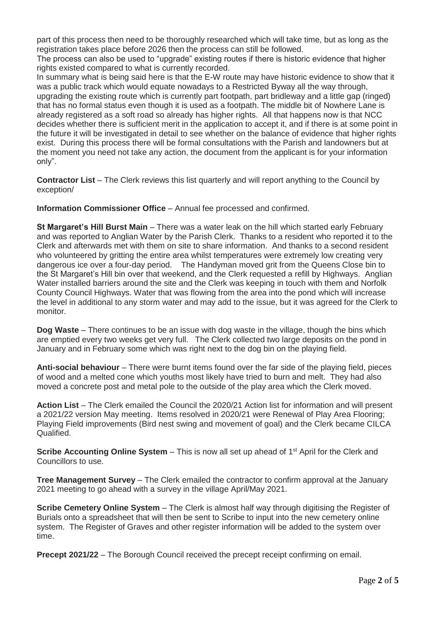part of this process then need to be thoroughly researched which will take time, but as long as the registration takes place before 2026 then the process can still be followed.

The process can also be used to "upgrade" existing routes if there is historic evidence that higher rights existed compared to what is currently recorded.

In summary what is being said here is that the E-W route may have historic evidence to show that it was a public track which would equate nowadays to a Restricted Byway all the way through, upgrading the existing route which is currently part footpath, part bridleway and a little gap (ringed) that has no formal status even though it is used as a footpath. The middle bit of Nowhere Lane is already registered as a soft road so already has higher rights. All that happens now is that NCC decides whether there is sufficient merit in the application to accept it, and if there is at some point in the future it will be investigated in detail to see whether on the balance of evidence that higher rights exist. During this process there will be formal consultations with the Parish and landowners but at the moment you need not take any action, the document from the applicant is for your information only".

**Contractor List** – The Clerk reviews this list quarterly and will report anything to the Council by exception/

**Information Commissioner Office** – Annual fee processed and confirmed.

**St Margaret's Hill Burst Main** – There was a water leak on the hill which started early February and was reported to Anglian Water by the Parish Clerk. Thanks to a resident who reported it to the Clerk and afterwards met with them on site to share information. And thanks to a second resident who volunteered by gritting the entire area whilst temperatures were extremely low creating very dangerous ice over a four-day period. The Handyman moved grit from the Queens Close bin to the St Margaret's Hill bin over that weekend, and the Clerk requested a refill by Highways. Anglian Water installed barriers around the site and the Clerk was keeping in touch with them and Norfolk County Council Highways. Water that was flowing from the area into the pond which will increase the level in additional to any storm water and may add to the issue, but it was agreed for the Clerk to monitor.

**Dog Waste** – There continues to be an issue with dog waste in the village, though the bins which are emptied every two weeks get very full. The Clerk collected two large deposits on the pond in January and in February some which was right next to the dog bin on the playing field.

**Anti-social behaviour** – There were burnt items found over the far side of the playing field, pieces of wood and a melted cone which youths most likely have tried to burn and melt. They had also moved a concrete post and metal pole to the outside of the play area which the Clerk moved.

**Action List** – The Clerk emailed the Council the 2020/21 Action list for information and will present a 2021/22 version May meeting. Items resolved in 2020/21 were Renewal of Play Area Flooring; Playing Field improvements (Bird nest swing and movement of goal) and the Clerk became CILCA Qualified.

**Scribe Accounting Online System** – This is now all set up ahead of 1<sup>st</sup> April for the Clerk and Councillors to use.

**Tree Management Survey** – The Clerk emailed the contractor to confirm approval at the January 2021 meeting to go ahead with a survey in the village April/May 2021.

**Scribe Cemetery Online System** – The Clerk is almost half way through digitising the Register of Burials onto a spreadsheet that will then be sent to Scribe to input into the new cemetery online system. The Register of Graves and other register information will be added to the system over time.

**Precept 2021/22** – The Borough Council received the precept receipt confirming on email.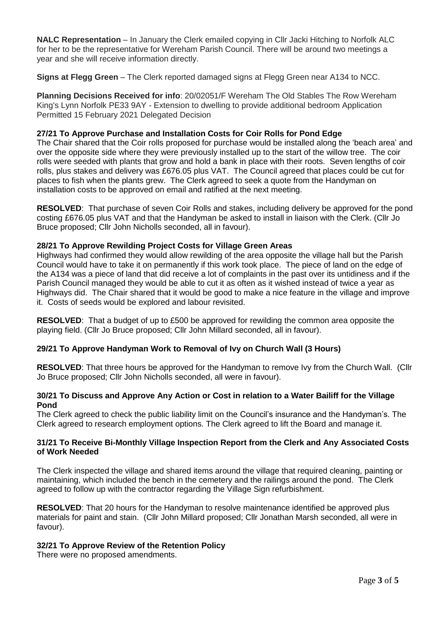**NALC Representation** – In January the Clerk emailed copying in Cllr Jacki Hitching to Norfolk ALC for her to be the representative for Wereham Parish Council. There will be around two meetings a year and she will receive information directly.

**Signs at Flegg Green** – The Clerk reported damaged signs at Flegg Green near A134 to NCC.

**Planning Decisions Received for info**: 20/02051/F Wereham The Old Stables The Row Wereham King's Lynn Norfolk PE33 9AY - Extension to dwelling to provide additional bedroom Application Permitted 15 February 2021 Delegated Decision

## **27/21 To Approve Purchase and Installation Costs for Coir Rolls for Pond Edge**

The Chair shared that the Coir rolls proposed for purchase would be installed along the 'beach area' and over the opposite side where they were previously installed up to the start of the willow tree. The coir rolls were seeded with plants that grow and hold a bank in place with their roots. Seven lengths of coir rolls, plus stakes and delivery was £676.05 plus VAT. The Council agreed that places could be cut for places to fish when the plants grew. The Clerk agreed to seek a quote from the Handyman on installation costs to be approved on email and ratified at the next meeting.

**RESOLVED**: That purchase of seven Coir Rolls and stakes, including delivery be approved for the pond costing £676.05 plus VAT and that the Handyman be asked to install in liaison with the Clerk. (Cllr Jo Bruce proposed; Cllr John Nicholls seconded, all in favour).

## **28/21 To Approve Rewilding Project Costs for Village Green Areas**

Highways had confirmed they would allow rewilding of the area opposite the village hall but the Parish Council would have to take it on permanently if this work took place. The piece of land on the edge of the A134 was a piece of land that did receive a lot of complaints in the past over its untidiness and if the Parish Council managed they would be able to cut it as often as it wished instead of twice a year as Highways did. The Chair shared that it would be good to make a nice feature in the village and improve it. Costs of seeds would be explored and labour revisited.

**RESOLVED**: That a budget of up to £500 be approved for rewilding the common area opposite the playing field. (Cllr Jo Bruce proposed; Cllr John Millard seconded, all in favour).

# **29/21 To Approve Handyman Work to Removal of Ivy on Church Wall (3 Hours)**

**RESOLVED**: That three hours be approved for the Handyman to remove Ivy from the Church Wall. (Cllr Jo Bruce proposed; Cllr John Nicholls seconded, all were in favour).

## **30/21 To Discuss and Approve Any Action or Cost in relation to a Water Bailiff for the Village Pond**

The Clerk agreed to check the public liability limit on the Council's insurance and the Handyman's. The Clerk agreed to research employment options. The Clerk agreed to lift the Board and manage it.

### **31/21 To Receive Bi-Monthly Village Inspection Report from the Clerk and Any Associated Costs of Work Needed**

The Clerk inspected the village and shared items around the village that required cleaning, painting or maintaining, which included the bench in the cemetery and the railings around the pond. The Clerk agreed to follow up with the contractor regarding the Village Sign refurbishment.

**RESOLVED**: That 20 hours for the Handyman to resolve maintenance identified be approved plus materials for paint and stain. (Cllr John Millard proposed; Cllr Jonathan Marsh seconded, all were in favour).

## **32/21 To Approve Review of the Retention Policy**

There were no proposed amendments.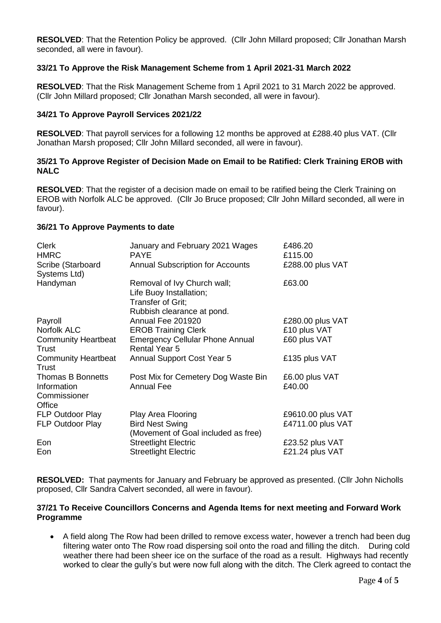**RESOLVED**: That the Retention Policy be approved. (Cllr John Millard proposed; Cllr Jonathan Marsh seconded, all were in favour).

## **33/21 To Approve the Risk Management Scheme from 1 April 2021-31 March 2022**

**RESOLVED**: That the Risk Management Scheme from 1 April 2021 to 31 March 2022 be approved. (Cllr John Millard proposed; Cllr Jonathan Marsh seconded, all were in favour).

### **34/21 To Approve Payroll Services 2021/22**

**RESOLVED**: That payroll services for a following 12 months be approved at £288.40 plus VAT. (Cllr Jonathan Marsh proposed; Cllr John Millard seconded, all were in favour).

## **35/21 To Approve Register of Decision Made on Email to be Ratified: Clerk Training EROB with NALC**

**RESOLVED**: That the register of a decision made on email to be ratified being the Clerk Training on EROB with Norfolk ALC be approved. (Cllr Jo Bruce proposed; Cllr John Millard seconded, all were in favour).

#### **36/21 To Approve Payments to date**

| <b>Clerk</b><br><b>HMRC</b>                                       | January and February 2021 Wages<br><b>PAYE</b>                                                            | £486.20<br>£115.00                     |
|-------------------------------------------------------------------|-----------------------------------------------------------------------------------------------------------|----------------------------------------|
| Scribe (Starboard<br>Systems Ltd)                                 | <b>Annual Subscription for Accounts</b>                                                                   | £288.00 plus VAT                       |
| Handyman                                                          | Removal of Ivy Church wall;<br>Life Buoy Installation;<br>Transfer of Grit;<br>Rubbish clearance at pond. | £63.00                                 |
| Payroll                                                           | Annual Fee 201920                                                                                         | £280.00 plus VAT                       |
| <b>Norfolk ALC</b>                                                | <b>EROB Training Clerk</b>                                                                                | £10 plus VAT                           |
| <b>Community Heartbeat</b><br>Trust                               | <b>Emergency Cellular Phone Annual</b><br><b>Rental Year 5</b>                                            | £60 plus VAT                           |
| <b>Community Heartbeat</b><br>Trust                               | Annual Support Cost Year 5                                                                                | £135 plus VAT                          |
| <b>Thomas B Bonnetts</b><br>Information<br>Commissioner<br>Office | Post Mix for Cemetery Dog Waste Bin<br><b>Annual Fee</b>                                                  | £6.00 plus VAT<br>£40.00               |
| FLP Outdoor Play<br>FLP Outdoor Play                              | Play Area Flooring<br><b>Bird Nest Swing</b>                                                              | £9610.00 plus VAT<br>£4711.00 plus VAT |
| Eon<br>Eon                                                        | (Movement of Goal included as free)<br><b>Streetlight Electric</b><br><b>Streetlight Electric</b>         | £23.52 plus VAT<br>£21.24 plus VAT     |

**RESOLVED:** That payments for January and February be approved as presented. (Cllr John Nicholls proposed, Cllr Sandra Calvert seconded, all were in favour).

### **37/21 To Receive Councillors Concerns and Agenda Items for next meeting and Forward Work Programme**

 A field along The Row had been drilled to remove excess water, however a trench had been dug filtering water onto The Row road dispersing soil onto the road and filling the ditch. During cold weather there had been sheer ice on the surface of the road as a result. Highways had recently worked to clear the gully's but were now full along with the ditch. The Clerk agreed to contact the